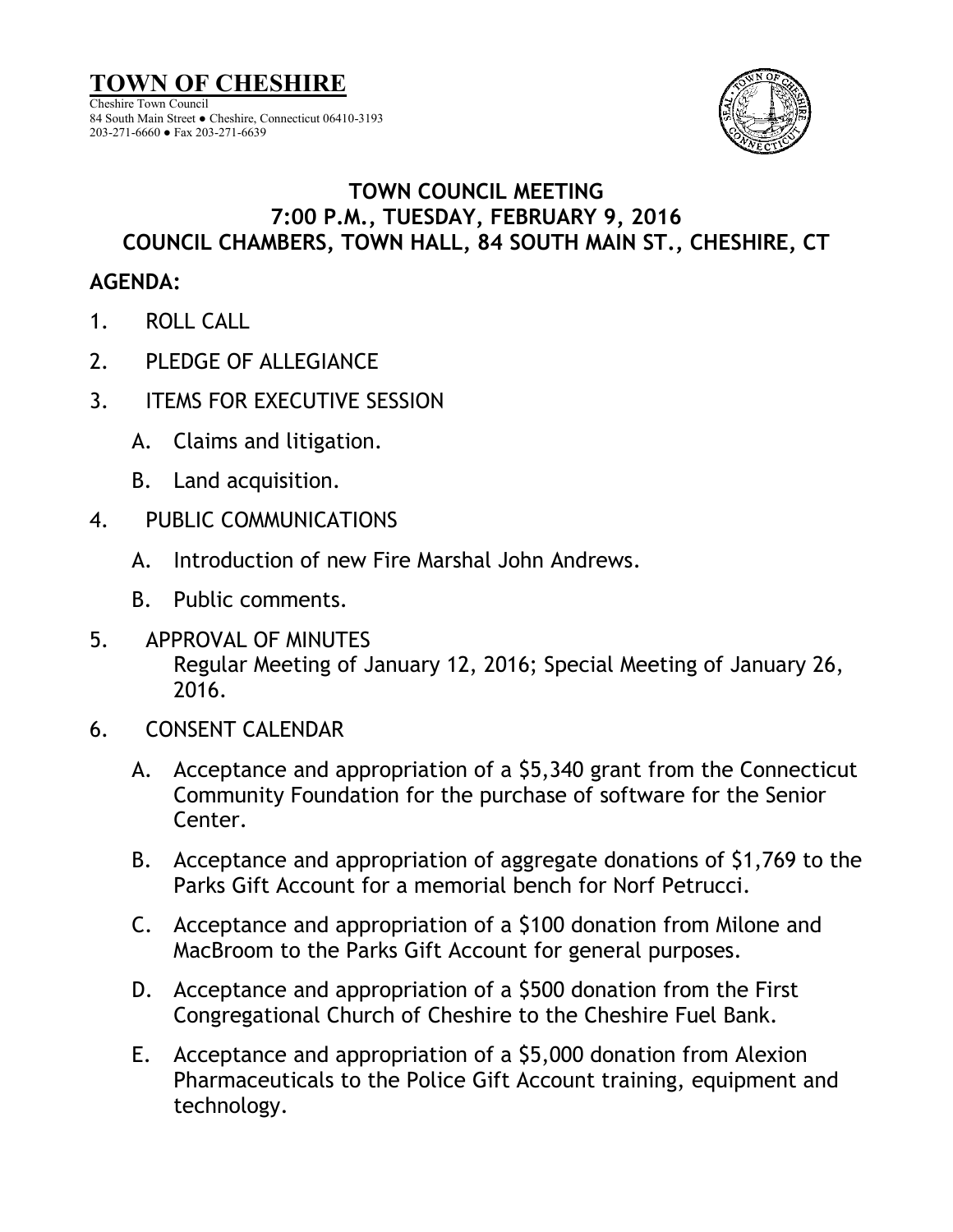

### **TOWN COUNCIL MEETING 7:00 P.M., TUESDAY, FEBRUARY 9, 2016 COUNCIL CHAMBERS, TOWN HALL, 84 SOUTH MAIN ST., CHESHIRE, CT**

# **AGENDA:**

- 1. ROLL CALL
- 2. PLEDGE OF ALLEGIANCE
- 3. ITEMS FOR EXECUTIVE SESSION
	- A. Claims and litigation.
	- B. Land acquisition.
- 4. PUBLIC COMMUNICATIONS
	- A. Introduction of new Fire Marshal John Andrews.
	- B. Public comments.
- 5. APPROVAL OF MINUTES Regular Meeting of January 12, 2016; Special Meeting of January 26, 2016.
- 6. CONSENT CALENDAR
	- A. Acceptance and appropriation of a \$5,340 grant from the Connecticut Community Foundation for the purchase of software for the Senior Center.
	- B. Acceptance and appropriation of aggregate donations of \$1,769 to the Parks Gift Account for a memorial bench for Norf Petrucci.
	- C. Acceptance and appropriation of a \$100 donation from Milone and MacBroom to the Parks Gift Account for general purposes.
	- D. Acceptance and appropriation of a \$500 donation from the First Congregational Church of Cheshire to the Cheshire Fuel Bank.
	- E. Acceptance and appropriation of a \$5,000 donation from Alexion Pharmaceuticals to the Police Gift Account training, equipment and technology.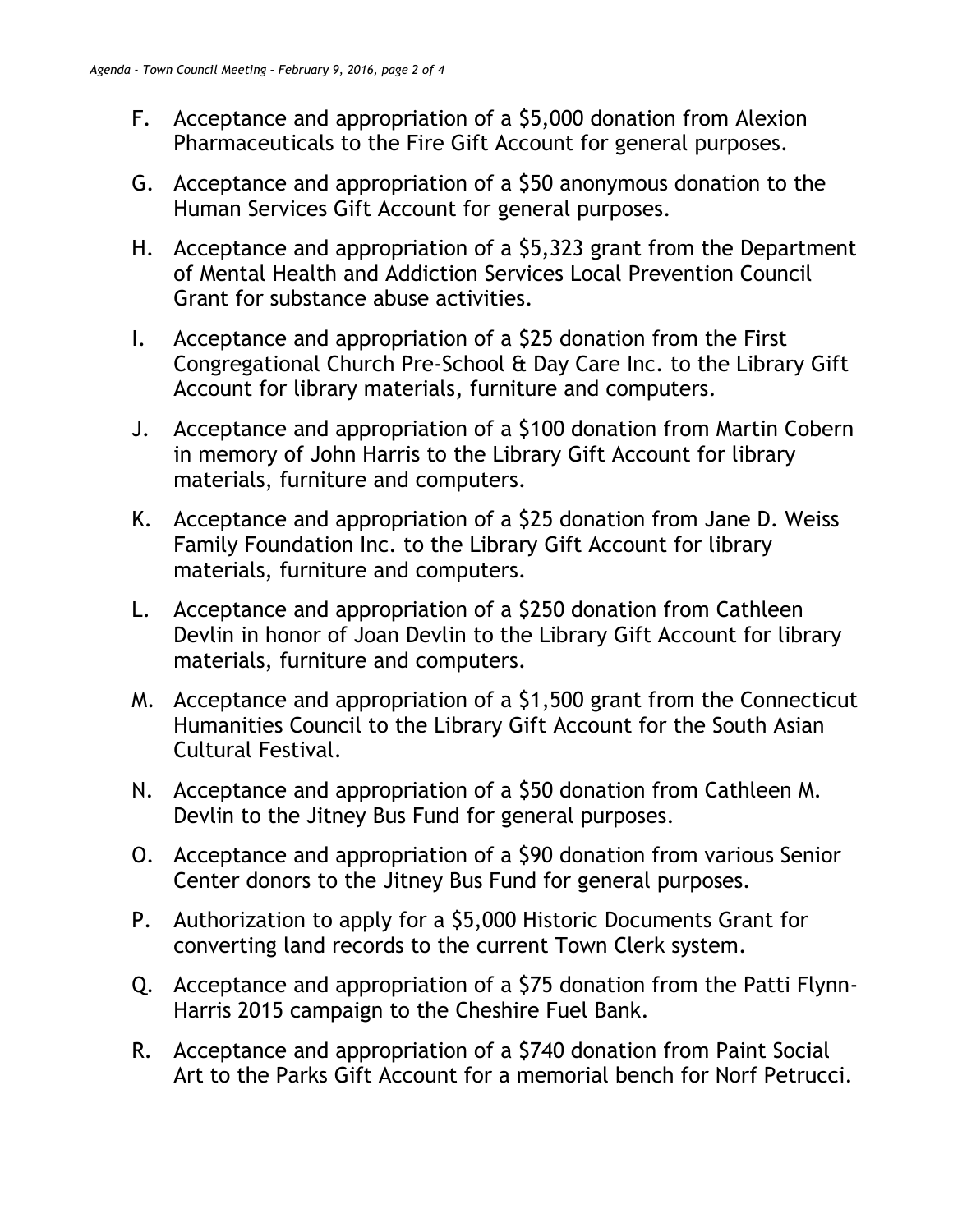- F. Acceptance and appropriation of a \$5,000 donation from Alexion Pharmaceuticals to the Fire Gift Account for general purposes.
- G. Acceptance and appropriation of a \$50 anonymous donation to the Human Services Gift Account for general purposes.
- H. Acceptance and appropriation of a \$5,323 grant from the Department of Mental Health and Addiction Services Local Prevention Council Grant for substance abuse activities.
- I. Acceptance and appropriation of a \$25 donation from the First Congregational Church Pre-School & Day Care Inc. to the Library Gift Account for library materials, furniture and computers.
- J. Acceptance and appropriation of a \$100 donation from Martin Cobern in memory of John Harris to the Library Gift Account for library materials, furniture and computers.
- K. Acceptance and appropriation of a \$25 donation from Jane D. Weiss Family Foundation Inc. to the Library Gift Account for library materials, furniture and computers.
- L. Acceptance and appropriation of a \$250 donation from Cathleen Devlin in honor of Joan Devlin to the Library Gift Account for library materials, furniture and computers.
- M. Acceptance and appropriation of a \$1,500 grant from the Connecticut Humanities Council to the Library Gift Account for the South Asian Cultural Festival.
- N. Acceptance and appropriation of a \$50 donation from Cathleen M. Devlin to the Jitney Bus Fund for general purposes.
- O. Acceptance and appropriation of a \$90 donation from various Senior Center donors to the Jitney Bus Fund for general purposes.
- P. Authorization to apply for a \$5,000 Historic Documents Grant for converting land records to the current Town Clerk system.
- Q. Acceptance and appropriation of a \$75 donation from the Patti Flynn-Harris 2015 campaign to the Cheshire Fuel Bank.
- R. Acceptance and appropriation of a \$740 donation from Paint Social Art to the Parks Gift Account for a memorial bench for Norf Petrucci.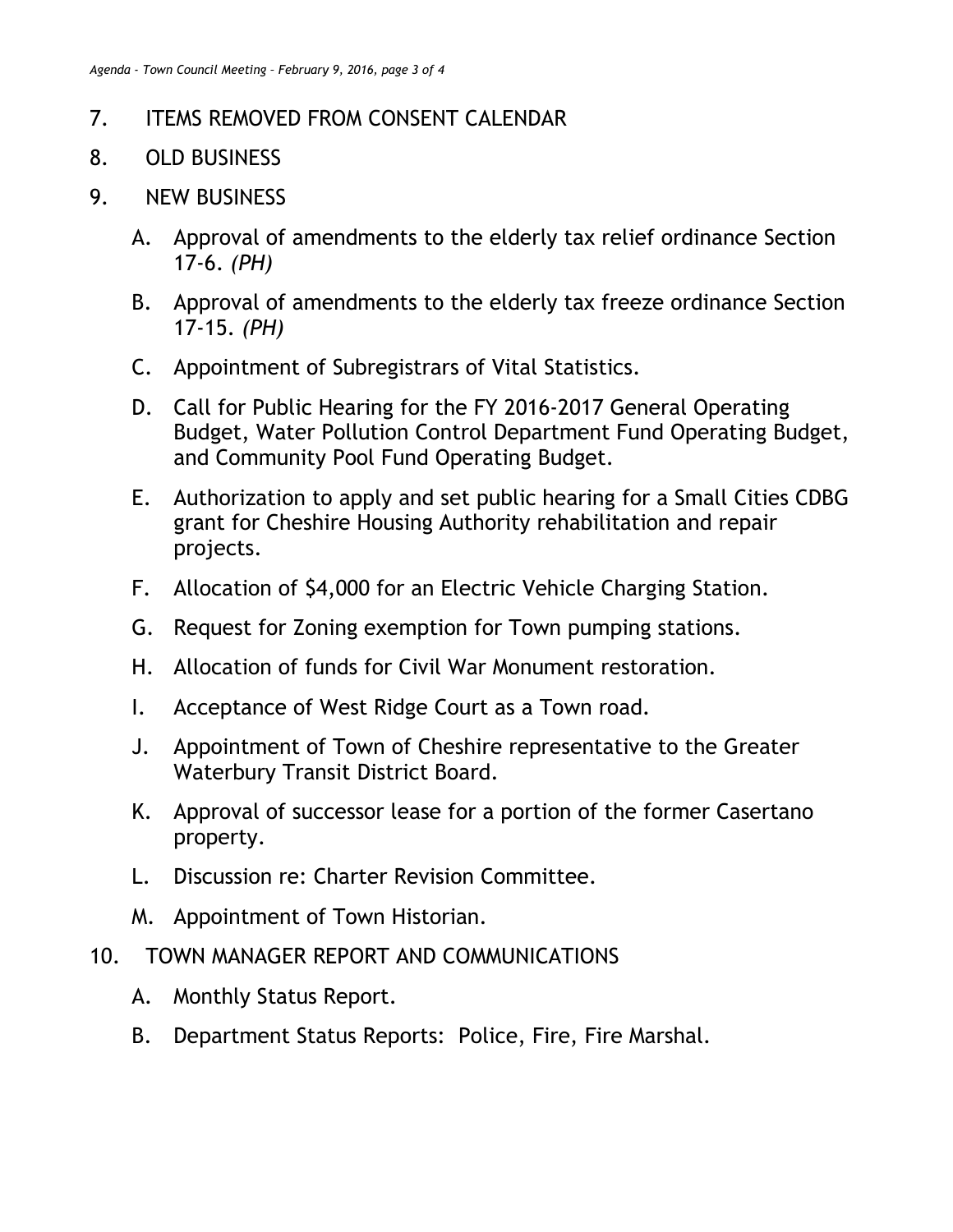## 7. ITEMS REMOVED FROM CONSENT CALENDAR

- 8. OLD BUSINESS
- 9. NEW BUSINESS
	- A. Approval of amendments to the elderly tax relief ordinance Section 17-6. *(PH)*
	- B. Approval of amendments to the elderly tax freeze ordinance Section 17-15. *(PH)*
	- C. Appointment of Subregistrars of Vital Statistics.
	- D. Call for Public Hearing for the FY 2016-2017 General Operating Budget, Water Pollution Control Department Fund Operating Budget, and Community Pool Fund Operating Budget.
	- E. Authorization to apply and set public hearing for a Small Cities CDBG grant for Cheshire Housing Authority rehabilitation and repair projects.
	- F. Allocation of \$4,000 for an Electric Vehicle Charging Station.
	- G. Request for Zoning exemption for Town pumping stations.
	- H. Allocation of funds for Civil War Monument restoration.
	- I. Acceptance of West Ridge Court as a Town road.
	- J. Appointment of Town of Cheshire representative to the Greater Waterbury Transit District Board.
	- K. Approval of successor lease for a portion of the former Casertano property.
	- L. Discussion re: Charter Revision Committee.
	- M. Appointment of Town Historian.
- 10. TOWN MANAGER REPORT AND COMMUNICATIONS
	- A. Monthly Status Report.
	- B. Department Status Reports: Police, Fire, Fire Marshal.